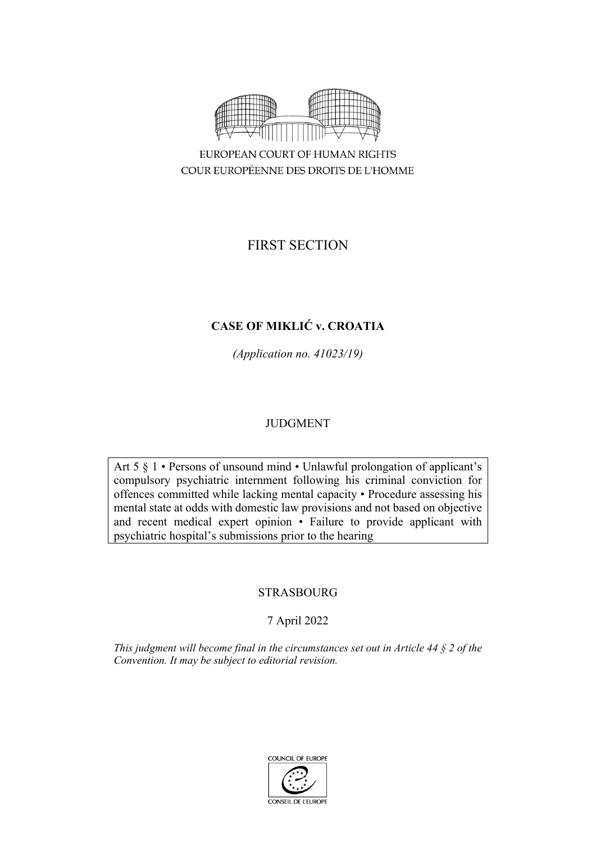

FIRST SECTION

# **CASE OF MIKLIĆ v. CROATIA**

*(Application no. 41023/19)*

# JUDGMENT

Art 5 § 1 • Persons of unsound mind • Unlawful prolongation of applicant's compulsory psychiatric internment following his criminal conviction for offences committed while lacking mental capacity • Procedure assessing his mental state at odds with domestic law provisions and not based on objective and recent medical expert opinion • Failure to provide applicant with psychiatric hospital's submissions prior to the hearing

# STRASBOURG

# 7 April 2022

*This judgment will become final in the circumstances set out in Article 44 § 2 of the Convention. It may be subject to editorial revision.*

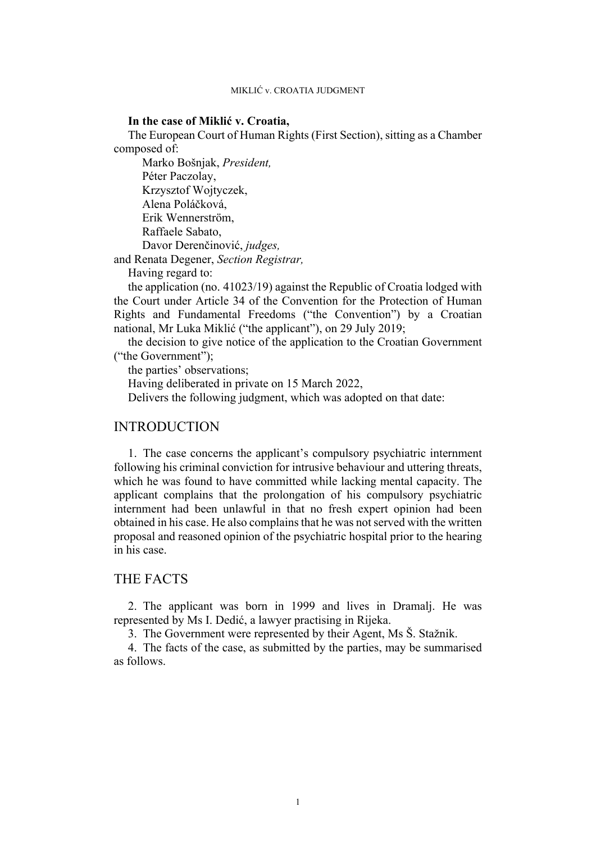## **In the case of Miklić v. Croatia,**

The European Court of Human Rights (First Section), sitting as a Chamber composed of:

Marko Bošnjak, *President,* Péter Paczolay, Krzysztof Wojtyczek, Alena Poláčková, Erik Wennerström, Raffaele Sabato, Davor Derenčinović, *judges,*

and Renata Degener, *Section Registrar,*

Having regard to:

the application (no. 41023/19) against the Republic of Croatia lodged with the Court under Article 34 of the Convention for the Protection of Human Rights and Fundamental Freedoms ("the Convention") by a Croatian national, Mr Luka Miklić ("the applicant"), on 29 July 2019;

the decision to give notice of the application to the Croatian Government ("the Government");

the parties' observations;

Having deliberated in private on 15 March 2022,

Delivers the following judgment, which was adopted on that date:

## INTRODUCTION

1. The case concerns the applicant's compulsory psychiatric internment following his criminal conviction for intrusive behaviour and uttering threats, which he was found to have committed while lacking mental capacity. The applicant complains that the prolongation of his compulsory psychiatric internment had been unlawful in that no fresh expert opinion had been obtained in his case. He also complains that he was not served with the written proposal and reasoned opinion of the psychiatric hospital prior to the hearing in his case.

## THE FACTS

2. The applicant was born in 1999 and lives in Dramalj. He was represented by Ms I. Dedić, a lawyer practising in Rijeka.

3. The Government were represented by their Agent, Ms Š. Stažnik.

4. The facts of the case, as submitted by the parties, may be summarised as follows.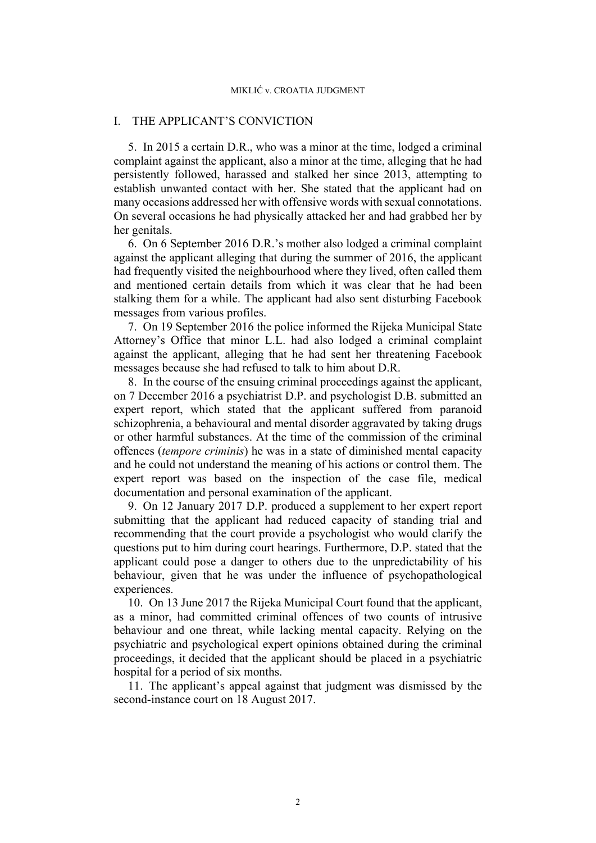## I. THE APPLICANT'S CONVICTION

5. In 2015 a certain D.R., who was a minor at the time, lodged a criminal complaint against the applicant, also a minor at the time, alleging that he had persistently followed, harassed and stalked her since 2013, attempting to establish unwanted contact with her. She stated that the applicant had on many occasions addressed her with offensive words with sexual connotations. On several occasions he had physically attacked her and had grabbed her by her genitals.

6. On 6 September 2016 D.R.'s mother also lodged a criminal complaint against the applicant alleging that during the summer of 2016, the applicant had frequently visited the neighbourhood where they lived, often called them and mentioned certain details from which it was clear that he had been stalking them for a while. The applicant had also sent disturbing Facebook messages from various profiles.

7. On 19 September 2016 the police informed the Rijeka Municipal State Attorney's Office that minor L.L. had also lodged a criminal complaint against the applicant, alleging that he had sent her threatening Facebook messages because she had refused to talk to him about D.R.

<span id="page-3-1"></span>8. In the course of the ensuing criminal proceedings against the applicant, on 7 December 2016 a psychiatrist D.P. and psychologist D.B. submitted an expert report, which stated that the applicant suffered from paranoid schizophrenia, a behavioural and mental disorder aggravated by taking drugs or other harmful substances. At the time of the commission of the criminal offences (*tempore criminis*) he was in a state of diminished mental capacity and he could not understand the meaning of his actions or control them. The expert report was based on the inspection of the case file, medical documentation and personal examination of the applicant.

<span id="page-3-2"></span>9. On 12 January 2017 D.P. produced a supplement to her expert report submitting that the applicant had reduced capacity of standing trial and recommending that the court provide a psychologist who would clarify the questions put to him during court hearings. Furthermore, D.P. stated that the applicant could pose a danger to others due to the unpredictability of his behaviour, given that he was under the influence of psychopathological experiences.

<span id="page-3-0"></span>10. On 13 June 2017 the Rijeka Municipal Court found that the applicant, as a minor, had committed criminal offences of two counts of intrusive behaviour and one threat, while lacking mental capacity. Relying on the psychiatric and psychological expert opinions obtained during the criminal proceedings, it decided that the applicant should be placed in a psychiatric hospital for a period of six months.

11. The applicant's appeal against that judgment was dismissed by the second-instance court on 18 August 2017.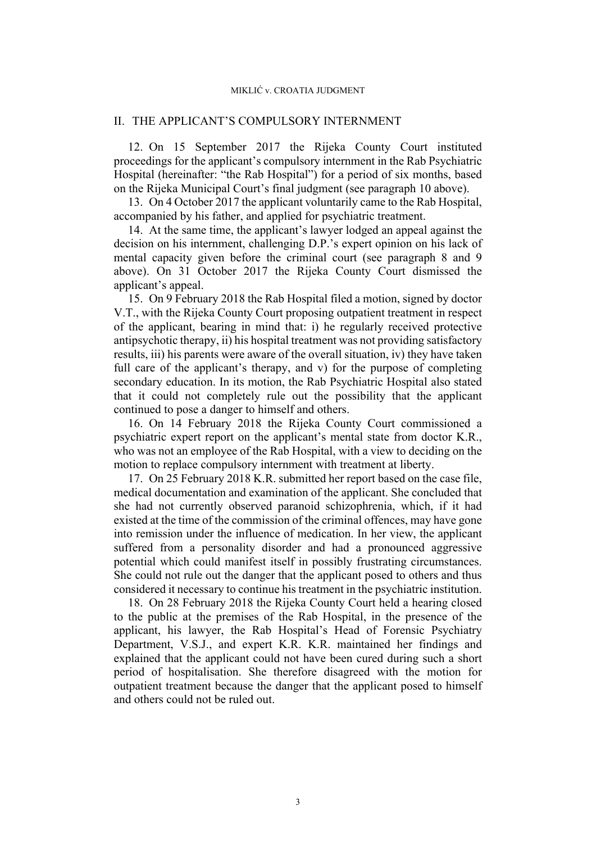## II. THE APPLICANT'S COMPULSORY INTERNMENT

12.On 15 September 2017 the Rijeka County Court instituted proceedings for the applicant's compulsory internment in the Rab Psychiatric Hospital (hereinafter: "the Rab Hospital") for a period of six months, based on the Rijeka Municipal Court's final judgment (see paragraph [10](#page-3-0) above).

13. On 4 October 2017 the applicant voluntarily came to the Rab Hospital, accompanied by his father, and applied for psychiatric treatment.

14. At the same time, the applicant's lawyer lodged an appeal against the decision on his internment, challenging D.P.'s expert opinion on his lack of mental capacity given before the criminal court (see paragraph [8](#page-3-1) and [9](#page-3-2)  above). On 31 October 2017 the Rijeka County Court dismissed the applicant's appeal.

<span id="page-4-0"></span>15. On 9 February 2018 the Rab Hospital filed a motion, signed by doctor V.T., with the Rijeka County Court proposing outpatient treatment in respect of the applicant, bearing in mind that: i) he regularly received protective antipsychotic therapy, ii) his hospital treatment was not providing satisfactory results, iii) his parents were aware of the overall situation, iv) they have taken full care of the applicant's therapy, and v) for the purpose of completing secondary education. In its motion, the Rab Psychiatric Hospital also stated that it could not completely rule out the possibility that the applicant continued to pose a danger to himself and others.

16. On 14 February 2018 the Rijeka County Court commissioned a psychiatric expert report on the applicant's mental state from doctor K.R., who was not an employee of the Rab Hospital, with a view to deciding on the motion to replace compulsory internment with treatment at liberty.

<span id="page-4-1"></span>17. On 25 February 2018 K.R. submitted her report based on the case file, medical documentation and examination of the applicant. She concluded that she had not currently observed paranoid schizophrenia, which, if it had existed at the time of the commission of the criminal offences, may have gone into remission under the influence of medication. In her view, the applicant suffered from a personality disorder and had a pronounced aggressive potential which could manifest itself in possibly frustrating circumstances. She could not rule out the danger that the applicant posed to others and thus considered it necessary to continue his treatment in the psychiatric institution.

18. On 28 February 2018 the Rijeka County Court held a hearing closed to the public at the premises of the Rab Hospital, in the presence of the applicant, his lawyer, the Rab Hospital's Head of Forensic Psychiatry Department, V.S.J., and expert K.R. K.R. maintained her findings and explained that the applicant could not have been cured during such a short period of hospitalisation. She therefore disagreed with the motion for outpatient treatment because the danger that the applicant posed to himself and others could not be ruled out.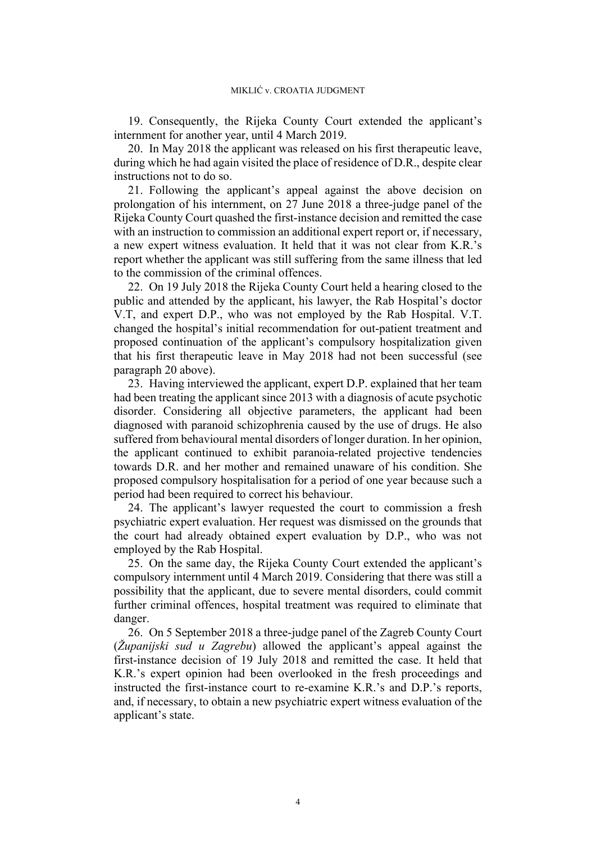19. Consequently, the Rijeka County Court extended the applicant's internment for another year, until 4 March 2019.

<span id="page-5-0"></span>20. In May 2018 the applicant was released on his first therapeutic leave, during which he had again visited the place of residence of D.R., despite clear instructions not to do so.

<span id="page-5-2"></span>21. Following the applicant's appeal against the above decision on prolongation of his internment, on 27 June 2018 a three-judge panel of the Rijeka County Court quashed the first-instance decision and remitted the case with an instruction to commission an additional expert report or, if necessary, a new expert witness evaluation. It held that it was not clear from K.R.'s report whether the applicant was still suffering from the same illness that led to the commission of the criminal offences.

<span id="page-5-1"></span>22. On 19 July 2018 the Rijeka County Court held a hearing closed to the public and attended by the applicant, his lawyer, the Rab Hospital's doctor V.T, and expert D.P., who was not employed by the Rab Hospital. V.T. changed the hospital's initial recommendation for out-patient treatment and proposed continuation of the applicant's compulsory hospitalization given that his first therapeutic leave in May 2018 had not been successful (see paragraph [20](#page-5-0) above).

23. Having interviewed the applicant, expert D.P. explained that her team had been treating the applicant since 2013 with a diagnosis of acute psychotic disorder. Considering all objective parameters, the applicant had been diagnosed with paranoid schizophrenia caused by the use of drugs. He also suffered from behavioural mental disorders of longer duration. In her opinion, the applicant continued to exhibit paranoia-related projective tendencies towards D.R. and her mother and remained unaware of his condition. She proposed compulsory hospitalisation for a period of one year because such a period had been required to correct his behaviour.

24. The applicant's lawyer requested the court to commission a fresh psychiatric expert evaluation. Her request was dismissed on the grounds that the court had already obtained expert evaluation by D.P., who was not employed by the Rab Hospital.

25. On the same day, the Rijeka County Court extended the applicant's compulsory internment until 4 March 2019. Considering that there was still a possibility that the applicant, due to severe mental disorders, could commit further criminal offences, hospital treatment was required to eliminate that danger.

<span id="page-5-3"></span>26. On 5 September 2018 a three-judge panel of the Zagreb County Court (*Županijski sud u Zagrebu*) allowed the applicant's appeal against the first-instance decision of 19 July 2018 and remitted the case. It held that K.R.'s expert opinion had been overlooked in the fresh proceedings and instructed the first-instance court to re-examine K.R.'s and D.P.'s reports, and, if necessary, to obtain a new psychiatric expert witness evaluation of the applicant's state.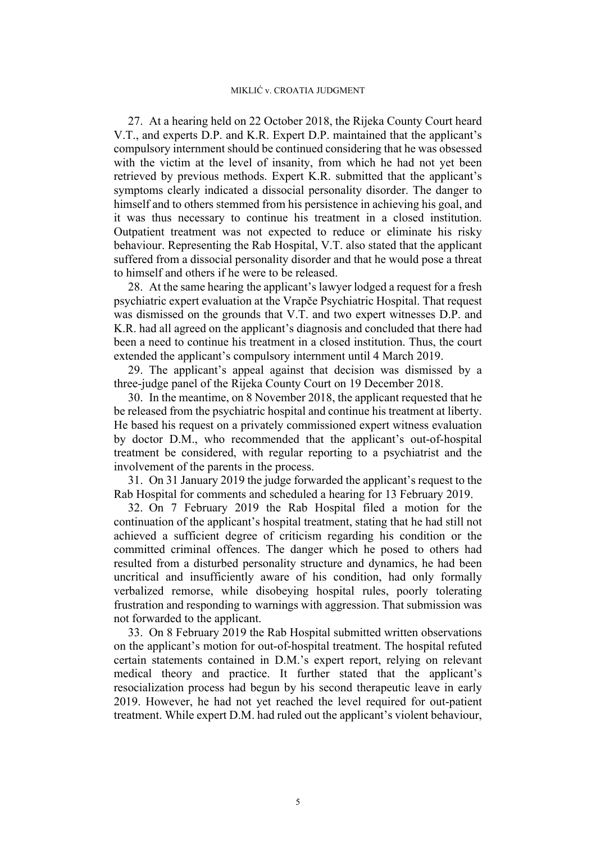<span id="page-6-3"></span>27. At a hearing held on 22 October 2018, the Rijeka County Court heard V.T., and experts D.P. and K.R. Expert D.P. maintained that the applicant's compulsory internment should be continued considering that he was obsessed with the victim at the level of insanity, from which he had not yet been retrieved by previous methods. Expert K.R. submitted that the applicant's symptoms clearly indicated a dissocial personality disorder. The danger to himself and to others stemmed from his persistence in achieving his goal, and it was thus necessary to continue his treatment in a closed institution. Outpatient treatment was not expected to reduce or eliminate his risky behaviour. Representing the Rab Hospital, V.T. also stated that the applicant suffered from a dissocial personality disorder and that he would pose a threat to himself and others if he were to be released.

28. At the same hearing the applicant's lawyer lodged a request for a fresh psychiatric expert evaluation at the Vrapče Psychiatric Hospital. That request was dismissed on the grounds that V.T. and two expert witnesses D.P. and K.R. had all agreed on the applicant's diagnosis and concluded that there had been a need to continue his treatment in a closed institution. Thus, the court extended the applicant's compulsory internment until 4 March 2019.

29. The applicant's appeal against that decision was dismissed by a three-judge panel of the Rijeka County Court on 19 December 2018.

30. In the meantime, on 8 November 2018, the applicant requested that he be released from the psychiatric hospital and continue his treatment at liberty. He based his request on a privately commissioned expert witness evaluation by doctor D.M., who recommended that the applicant's out-of-hospital treatment be considered, with regular reporting to a psychiatrist and the involvement of the parents in the process.

<span id="page-6-2"></span>31. On 31 January 2019 the judge forwarded the applicant's request to the Rab Hospital for comments and scheduled a hearing for 13 February 2019.

<span id="page-6-0"></span>32. On 7 February 2019 the Rab Hospital filed a motion for the continuation of the applicant's hospital treatment, stating that he had still not achieved a sufficient degree of criticism regarding his condition or the committed criminal offences. The danger which he posed to others had resulted from a disturbed personality structure and dynamics, he had been uncritical and insufficiently aware of his condition, had only formally verbalized remorse, while disobeying hospital rules, poorly tolerating frustration and responding to warnings with aggression. That submission was not forwarded to the applicant.

<span id="page-6-1"></span>33. On 8 February 2019 the Rab Hospital submitted written observations on the applicant's motion for out-of-hospital treatment. The hospital refuted certain statements contained in D.M.'s expert report, relying on relevant medical theory and practice. It further stated that the applicant's resocialization process had begun by his second therapeutic leave in early 2019. However, he had not yet reached the level required for out-patient treatment. While expert D.M. had ruled out the applicant's violent behaviour,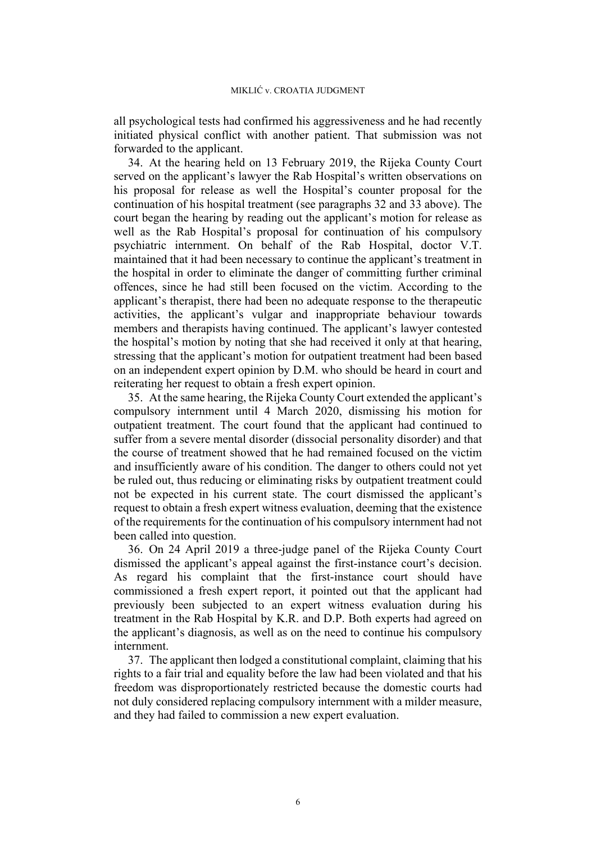all psychological tests had confirmed his aggressiveness and he had recently initiated physical conflict with another patient. That submission was not forwarded to the applicant.

34. At the hearing held on 13 February 2019, the Rijeka County Court served on the applicant's lawyer the Rab Hospital's written observations on his proposal for release as well the Hospital's counter proposal for the continuation of his hospital treatment (see paragraphs [32](#page-6-0) and [33](#page-6-1) above). The court began the hearing by reading out the applicant's motion for release as well as the Rab Hospital's proposal for continuation of his compulsory psychiatric internment. On behalf of the Rab Hospital, doctor V.T. maintained that it had been necessary to continue the applicant's treatment in the hospital in order to eliminate the danger of committing further criminal offences, since he had still been focused on the victim. According to the applicant's therapist, there had been no adequate response to the therapeutic activities, the applicant's vulgar and inappropriate behaviour towards members and therapists having continued. The applicant's lawyer contested the hospital's motion by noting that she had received it only at that hearing, stressing that the applicant's motion for outpatient treatment had been based on an independent expert opinion by D.M. who should be heard in court and reiterating her request to obtain a fresh expert opinion.

<span id="page-7-0"></span>35. At the same hearing, the Rijeka County Court extended the applicant's compulsory internment until 4 March 2020, dismissing his motion for outpatient treatment. The court found that the applicant had continued to suffer from a severe mental disorder (dissocial personality disorder) and that the course of treatment showed that he had remained focused on the victim and insufficiently aware of his condition. The danger to others could not yet be ruled out, thus reducing or eliminating risks by outpatient treatment could not be expected in his current state. The court dismissed the applicant's request to obtain a fresh expert witness evaluation, deeming that the existence of the requirements for the continuation of his compulsory internment had not been called into question.

<span id="page-7-1"></span>36. On 24 April 2019 a three-judge panel of the Rijeka County Court dismissed the applicant's appeal against the first-instance court's decision. As regard his complaint that the first-instance court should have commissioned a fresh expert report, it pointed out that the applicant had previously been subjected to an expert witness evaluation during his treatment in the Rab Hospital by K.R. and D.P. Both experts had agreed on the applicant's diagnosis, as well as on the need to continue his compulsory internment.

37. The applicant then lodged a constitutional complaint, claiming that his rights to a fair trial and equality before the law had been violated and that his freedom was disproportionately restricted because the domestic courts had not duly considered replacing compulsory internment with a milder measure, and they had failed to commission a new expert evaluation.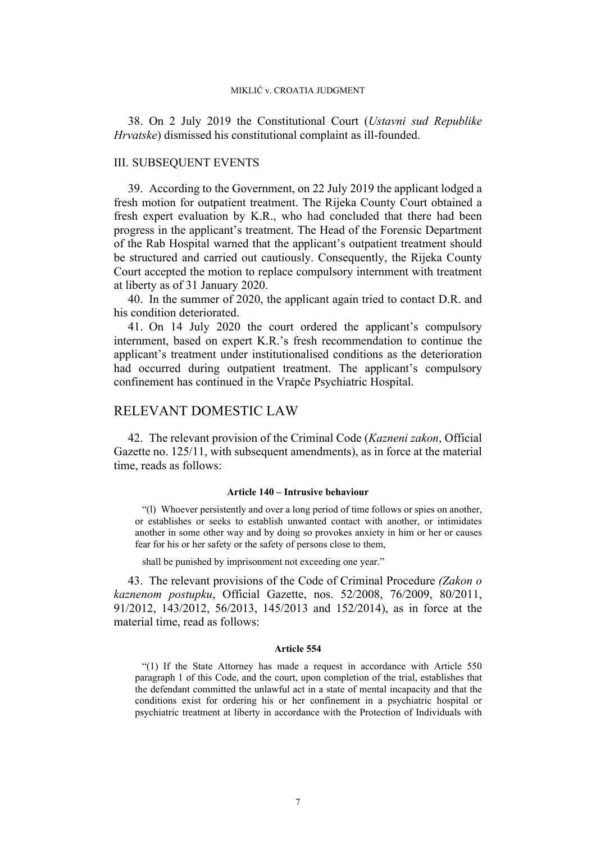38. On 2 July 2019 the Constitutional Court (*Ustavni sud Republike Hrvatske*) dismissed his constitutional complaint as ill-founded.

## III. SUBSEQUENT EVENTS

39. According to the Government, on 22 July 2019 the applicant lodged a fresh motion for outpatient treatment. The Rijeka County Court obtained a fresh expert evaluation by K.R., who had concluded that there had been progress in the applicant's treatment. The Head of the Forensic Department of the Rab Hospital warned that the applicant's outpatient treatment should be structured and carried out cautiously. Consequently, the Rijeka County Court accepted the motion to replace compulsory internment with treatment at liberty as of 31 January 2020.

40. In the summer of 2020, the applicant again tried to contact D.R. and his condition deteriorated.

41. On 14 July 2020 the court ordered the applicant's compulsory internment, based on expert K.R.'s fresh recommendation to continue the applicant's treatment under institutionalised conditions as the deterioration had occurred during outpatient treatment. The applicant's compulsory confinement has continued in the Vrapče Psychiatric Hospital.

## RELEVANT DOMESTIC LAW

42. The relevant provision of the Criminal Code (*Kazneni zakon*, Official Gazette no. 125/11, with subsequent amendments), as in force at the material time, reads as follows:

#### **Article 140 – Intrusive behaviour**

"(l) Whoever persistently and over a long period of time follows or spies on another, or establishes or seeks to establish unwanted contact with another, or intimidates another in some other way and by doing so provokes anxiety in him or her or causes fear for his or her safety or the safety of persons close to them,

shall be punished by imprisonment not exceeding one year."

43. The relevant provisions of the Code of Criminal Procedure *(Zakon o kaznenom postupku*, Official Gazette, nos. 52/2008, 76/2009, 80/2011, 91/2012, 143/2012, 56/2013, 145/2013 and 152/2014), as in force at the material time, read as follows:

#### **Article 554**

"(1) If the State Attorney has made a request in accordance with Article 550 paragraph 1 of this Code, and the court, upon completion of the trial, establishes that the defendant committed the unlawful act in a state of mental incapacity and that the conditions exist for ordering his or her confinement in a psychiatric hospital or psychiatric treatment at liberty in accordance with the Protection of Individuals with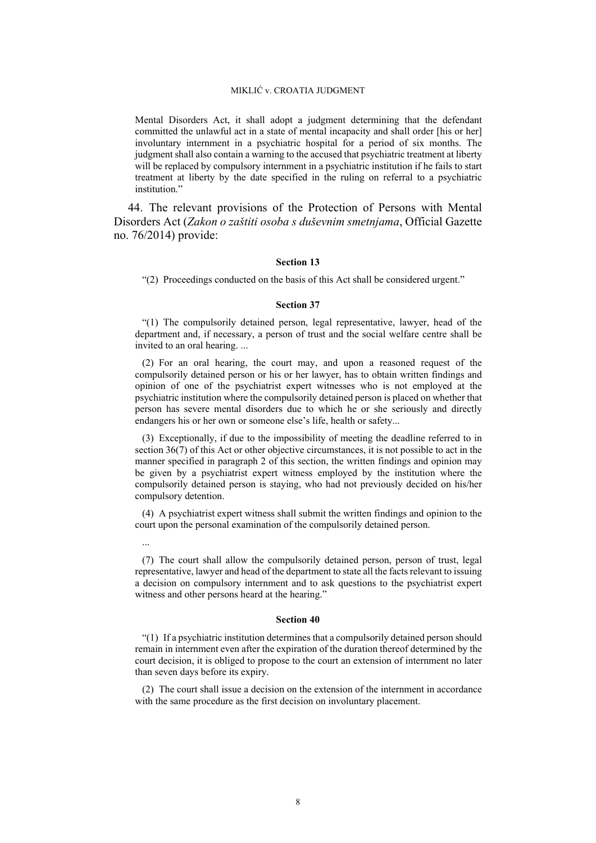Mental Disorders Act, it shall adopt a judgment determining that the defendant committed the unlawful act in a state of mental incapacity and shall order [his or her] involuntary internment in a psychiatric hospital for a period of six months. The judgment shall also contain a warning to the accused that psychiatric treatment at liberty will be replaced by compulsory internment in a psychiatric institution if he fails to start treatment at liberty by the date specified in the ruling on referral to a psychiatric institution."

<span id="page-9-0"></span>44. The relevant provisions of the Protection of Persons with Mental Disorders Act (*Zakon o zaštiti osoba s duševnim smetnjama*, Official Gazette no. 76/2014) provide:

## **Section 13**

"(2) Proceedings conducted on the basis of this Act shall be considered urgent."

#### **Section 37**

"(1) The compulsorily detained person, legal representative, lawyer, head of the department and, if necessary, a person of trust and the social welfare centre shall be invited to an oral hearing. ...

(2) For an oral hearing, the court may, and upon a reasoned request of the compulsorily detained person or his or her lawyer, has to obtain written findings and opinion of one of the psychiatrist expert witnesses who is not employed at the psychiatric institution where the compulsorily detained person is placed on whether that person has severe mental disorders due to which he or she seriously and directly endangers his or her own or someone else's life, health or safety...

(3) Exceptionally, if due to the impossibility of meeting the deadline referred to in section 36(7) of this Act or other objective circumstances, it is not possible to act in the manner specified in paragraph 2 of this section, the written findings and opinion may be given by a psychiatrist expert witness employed by the institution where the compulsorily detained person is staying, who had not previously decided on his/her compulsory detention.

(4) A psychiatrist expert witness shall submit the written findings and opinion to the court upon the personal examination of the compulsorily detained person.

...

(7) The court shall allow the compulsorily detained person, person of trust, legal representative, lawyer and head of the department to state all the facts relevant to issuing a decision on compulsory internment and to ask questions to the psychiatrist expert witness and other persons heard at the hearing."

## **Section 40**

"(1) If a psychiatric institution determines that a compulsorily detained person should remain in internment even after the expiration of the duration thereof determined by the court decision, it is obliged to propose to the court an extension of internment no later than seven days before its expiry.

(2) The court shall issue a decision on the extension of the internment in accordance with the same procedure as the first decision on involuntary placement.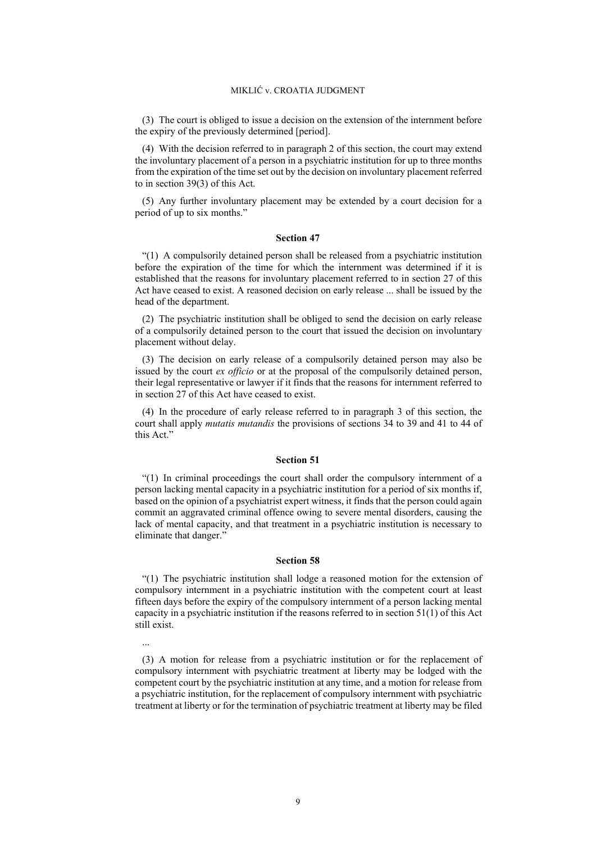(3) The court is obliged to issue a decision on the extension of the internment before the expiry of the previously determined [period].

(4) With the decision referred to in paragraph 2 of this section, the court may extend the involuntary placement of a person in a psychiatric institution for up to three months from the expiration of the time set out by the decision on involuntary placement referred to in section 39(3) of this Act.

(5) Any further involuntary placement may be extended by a court decision for a period of up to six months."

#### **Section 47**

"(1) A compulsorily detained person shall be released from a psychiatric institution before the expiration of the time for which the internment was determined if it is established that the reasons for involuntary placement referred to in section 27 of this Act have ceased to exist. A reasoned decision on early release ... shall be issued by the head of the department.

(2) The psychiatric institution shall be obliged to send the decision on early release of a compulsorily detained person to the court that issued the decision on involuntary placement without delay.

(3) The decision on early release of a compulsorily detained person may also be issued by the court *ex officio* or at the proposal of the compulsorily detained person, their legal representative or lawyer if it finds that the reasons for internment referred to in section 27 of this Act have ceased to exist.

(4) In the procedure of early release referred to in paragraph 3 of this section, the court shall apply *mutatis mutandis* the provisions of sections 34 to 39 and 41 to 44 of this Act."

#### **Section 51**

"(1) In criminal proceedings the court shall order the compulsory internment of a person lacking mental capacity in a psychiatric institution for a period of six months if, based on the opinion of a psychiatrist expert witness, it finds that the person could again commit an aggravated criminal offence owing to severe mental disorders, causing the lack of mental capacity, and that treatment in a psychiatric institution is necessary to eliminate that danger."

#### **Section 58**

"(1) The psychiatric institution shall lodge a reasoned motion for the extension of compulsory internment in a psychiatric institution with the competent court at least fifteen days before the expiry of the compulsory internment of a person lacking mental capacity in a psychiatric institution if the reasons referred to in section 51(1) of this Act still exist.

...

(3) A motion for release from a psychiatric institution or for the replacement of compulsory internment with psychiatric treatment at liberty may be lodged with the competent court by the psychiatric institution at any time, and a motion for release from a psychiatric institution, for the replacement of compulsory internment with psychiatric treatment at liberty or for the termination of psychiatric treatment at liberty may be filed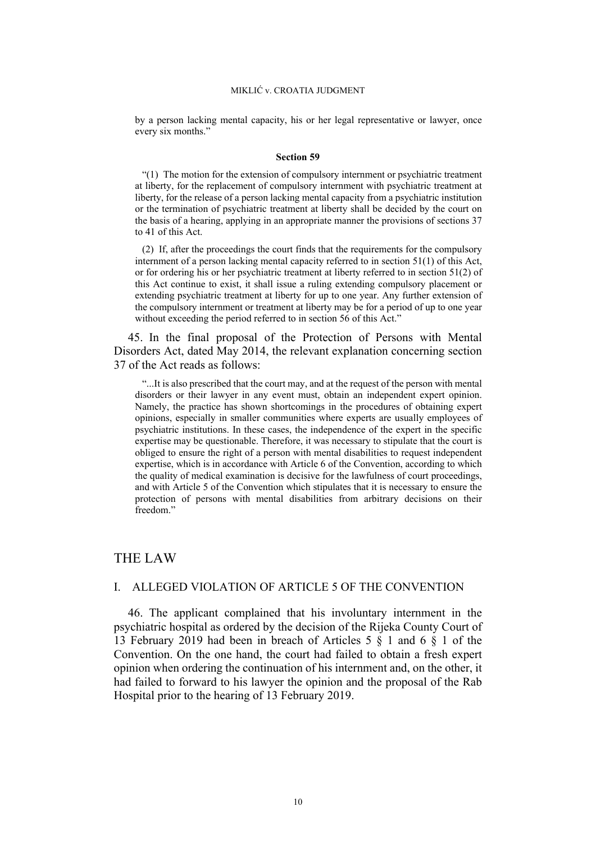by a person lacking mental capacity, his or her legal representative or lawyer, once every six months."

#### **Section 59**

"(1) The motion for the extension of compulsory internment or psychiatric treatment at liberty, for the replacement of compulsory internment with psychiatric treatment at liberty, for the release of a person lacking mental capacity from a psychiatric institution or the termination of psychiatric treatment at liberty shall be decided by the court on the basis of a hearing, applying in an appropriate manner the provisions of sections 37 to 41 of this Act.

(2) If, after the proceedings the court finds that the requirements for the compulsory internment of a person lacking mental capacity referred to in section 51(1) of this Act, or for ordering his or her psychiatric treatment at liberty referred to in section 51(2) of this Act continue to exist, it shall issue a ruling extending compulsory placement or extending psychiatric treatment at liberty for up to one year. Any further extension of the compulsory internment or treatment at liberty may be for a period of up to one year without exceeding the period referred to in section 56 of this Act."

<span id="page-11-0"></span>45. In the final proposal of the Protection of Persons with Mental Disorders Act, dated May 2014, the relevant explanation concerning section 37 of the Act reads as follows:

"...It is also prescribed that the court may, and at the request of the person with mental disorders or their lawyer in any event must, obtain an independent expert opinion. Namely, the practice has shown shortcomings in the procedures of obtaining expert opinions, especially in smaller communities where experts are usually employees of psychiatric institutions. In these cases, the independence of the expert in the specific expertise may be questionable. Therefore, it was necessary to stipulate that the court is obliged to ensure the right of a person with mental disabilities to request independent expertise, which is in accordance with Article 6 of the Convention, according to which the quality of medical examination is decisive for the lawfulness of court proceedings, and with Article 5 of the Convention which stipulates that it is necessary to ensure the protection of persons with mental disabilities from arbitrary decisions on their freedom."

## THE LAW

## I. ALLEGED VIOLATION OF ARTICLE 5 OF THE CONVENTION

46. The applicant complained that his involuntary internment in the psychiatric hospital as ordered by the decision of the Rijeka County Court of 13 February 2019 had been in breach of Articles 5 § 1 and 6 § 1 of the Convention. On the one hand, the court had failed to obtain a fresh expert opinion when ordering the continuation of his internment and, on the other, it had failed to forward to his lawyer the opinion and the proposal of the Rab Hospital prior to the hearing of 13 February 2019.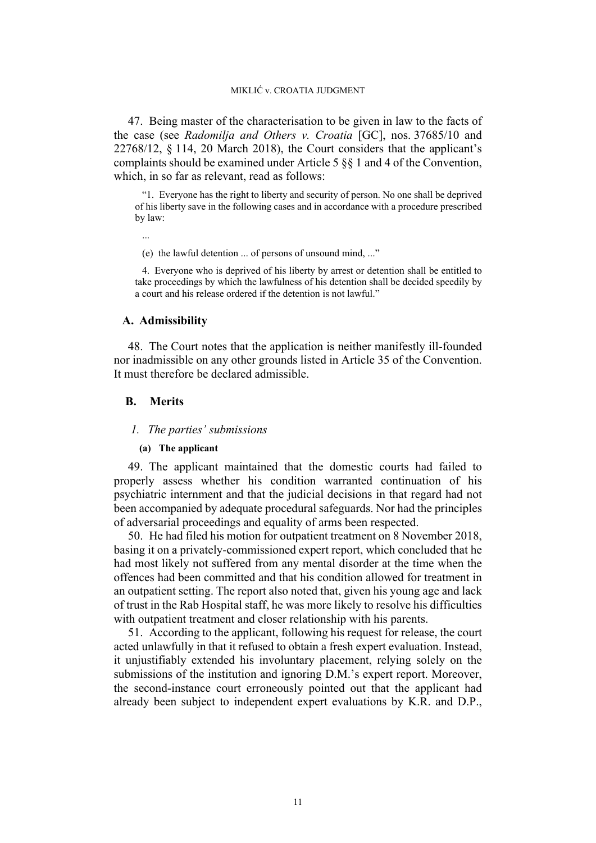47. Being master of the characterisation to be given in law to the facts of the case (see *Radomilja and Others v. Croatia* [GC], nos. [37685/10](https://hudoc.echr.coe.int/eng#%7B%22appno%22:%5B%2237685/10%22%5D%7D) and [22768/12](https://hudoc.echr.coe.int/eng#%7B%22appno%22:%5B%2222768/12%22%5D%7D), § 114, 20 March 2018), the Court considers that the applicant's complaints should be examined under Article 5 §§ 1 and 4 of the Convention, which, in so far as relevant, read as follows:

"1. Everyone has the right to liberty and security of person. No one shall be deprived of his liberty save in the following cases and in accordance with a procedure prescribed by law:

...

(e) the lawful detention ... of persons of unsound mind, ..."

4. Everyone who is deprived of his liberty by arrest or detention shall be entitled to take proceedings by which the lawfulness of his detention shall be decided speedily by a court and his release ordered if the detention is not lawful."

## **A. Admissibility**

48. The Court notes that the application is neither manifestly ill-founded nor inadmissible on any other grounds listed in Article 35 of the Convention. It must therefore be declared admissible.

## **B. Merits**

#### *1. The parties' submissions*

## **(a) The applicant**

49. The applicant maintained that the domestic courts had failed to properly assess whether his condition warranted continuation of his psychiatric internment and that the judicial decisions in that regard had not been accompanied by adequate procedural safeguards. Nor had the principles of adversarial proceedings and equality of arms been respected.

<span id="page-12-0"></span>50. He had filed his motion for outpatient treatment on 8 November 2018, basing it on a privately-commissioned expert report, which concluded that he had most likely not suffered from any mental disorder at the time when the offences had been committed and that his condition allowed for treatment in an outpatient setting. The report also noted that, given his young age and lack of trust in the Rab Hospital staff, he was more likely to resolve his difficulties with outpatient treatment and closer relationship with his parents.

51. According to the applicant, following his request for release, the court acted unlawfully in that it refused to obtain a fresh expert evaluation. Instead, it unjustifiably extended his involuntary placement, relying solely on the submissions of the institution and ignoring D.M.'s expert report. Moreover, the second-instance court erroneously pointed out that the applicant had already been subject to independent expert evaluations by K.R. and D.P.,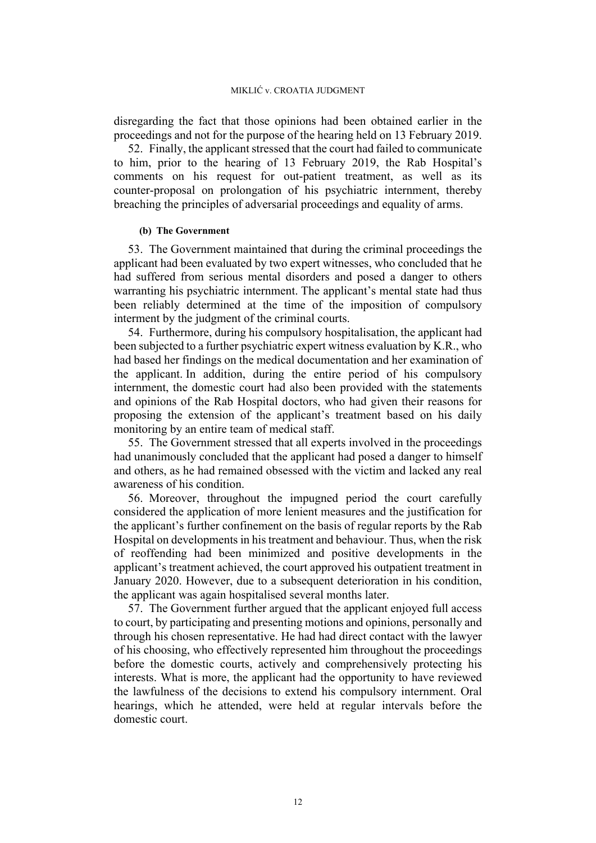disregarding the fact that those opinions had been obtained earlier in the proceedings and not for the purpose of the hearing held on 13 February 2019.

52. Finally, the applicant stressed that the court had failed to communicate to him, prior to the hearing of 13 February 2019, the Rab Hospital's comments on his request for out-patient treatment, as well as its counter-proposal on prolongation of his psychiatric internment, thereby breaching the principles of adversarial proceedings and equality of arms.

## **(b) The Government**

53. The Government maintained that during the criminal proceedings the applicant had been evaluated by two expert witnesses, who concluded that he had suffered from serious mental disorders and posed a danger to others warranting his psychiatric internment. The applicant's mental state had thus been reliably determined at the time of the imposition of compulsory interment by the judgment of the criminal courts.

54. Furthermore, during his compulsory hospitalisation, the applicant had been subjected to a further psychiatric expert witness evaluation by K.R., who had based her findings on the medical documentation and her examination of the applicant. In addition, during the entire period of his compulsory internment, the domestic court had also been provided with the statements and opinions of the Rab Hospital doctors, who had given their reasons for proposing the extension of the applicant's treatment based on his daily monitoring by an entire team of medical staff.

55. The Government stressed that all experts involved in the proceedings had unanimously concluded that the applicant had posed a danger to himself and others, as he had remained obsessed with the victim and lacked any real awareness of his condition.

56. Moreover, throughout the impugned period the court carefully considered the application of more lenient measures and the justification for the applicant's further confinement on the basis of regular reports by the Rab Hospital on developments in his treatment and behaviour. Thus, when the risk of reoffending had been minimized and positive developments in the applicant's treatment achieved, the court approved his outpatient treatment in January 2020. However, due to a subsequent deterioration in his condition, the applicant was again hospitalised several months later.

57. The Government further argued that the applicant enjoyed full access to court, by participating and presenting motions and opinions, personally and through his chosen representative. He had had direct contact with the lawyer of his choosing, who effectively represented him throughout the proceedings before the domestic courts, actively and comprehensively protecting his interests. What is more, the applicant had the opportunity to have reviewed the lawfulness of the decisions to extend his compulsory internment. Oral hearings, which he attended, were held at regular intervals before the domestic court.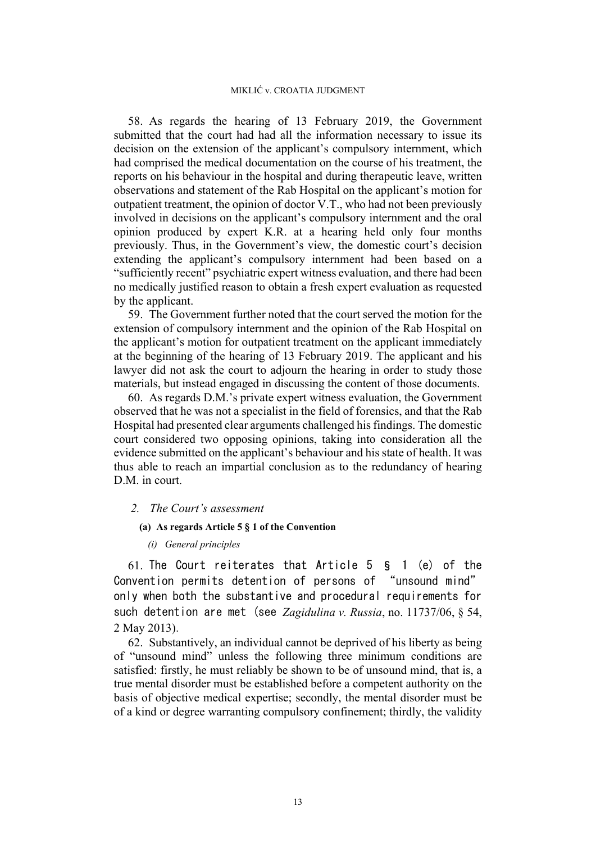58. As regards the hearing of 13 February 2019, the Government submitted that the court had had all the information necessary to issue its decision on the extension of the applicant's compulsory internment, which had comprised the medical documentation on the course of his treatment, the reports on his behaviour in the hospital and during therapeutic leave, written observations and statement of the Rab Hospital on the applicant's motion for outpatient treatment, the opinion of doctor V.T., who had not been previously involved in decisions on the applicant's compulsory internment and the oral opinion produced by expert K.R. at a hearing held only four months previously. Thus, in the Government's view, the domestic court's decision extending the applicant's compulsory internment had been based on a "sufficiently recent" psychiatric expert witness evaluation, and there had been no medically justified reason to obtain a fresh expert evaluation as requested by the applicant.

59. The Government further noted that the court served the motion for the extension of compulsory internment and the opinion of the Rab Hospital on the applicant's motion for outpatient treatment on the applicant immediately at the beginning of the hearing of 13 February 2019. The applicant and his lawyer did not ask the court to adjourn the hearing in order to study those materials, but instead engaged in discussing the content of those documents.

60. As regards D.M.'s private expert witness evaluation, the Government observed that he was not a specialist in the field of forensics, and that the Rab Hospital had presented clear arguments challenged his findings. The domestic court considered two opposing opinions, taking into consideration all the evidence submitted on the applicant's behaviour and his state of health. It was thus able to reach an impartial conclusion as to the redundancy of hearing D.M. in court.

## *2. The Court's assessment*

## **(a) As regards Article 5 § 1 of the Convention**

*(i) General principles*

61. The Court reiterates that Article 5 § 1 (e) of the Convention permits detention of persons of "unsound mind" only when both the substantive and procedural requirements for such detention are met (see *Zagidulina v. Russia*, no. 11737/06, § 54, 2 May 2013).

62. Substantively, an individual cannot be deprived of his liberty as being of "unsound mind" unless the following three minimum conditions are satisfied: firstly, he must reliably be shown to be of unsound mind, that is, a true mental disorder must be established before a competent authority on the basis of objective medical expertise; secondly, the mental disorder must be of a kind or degree warranting compulsory confinement; thirdly, the validity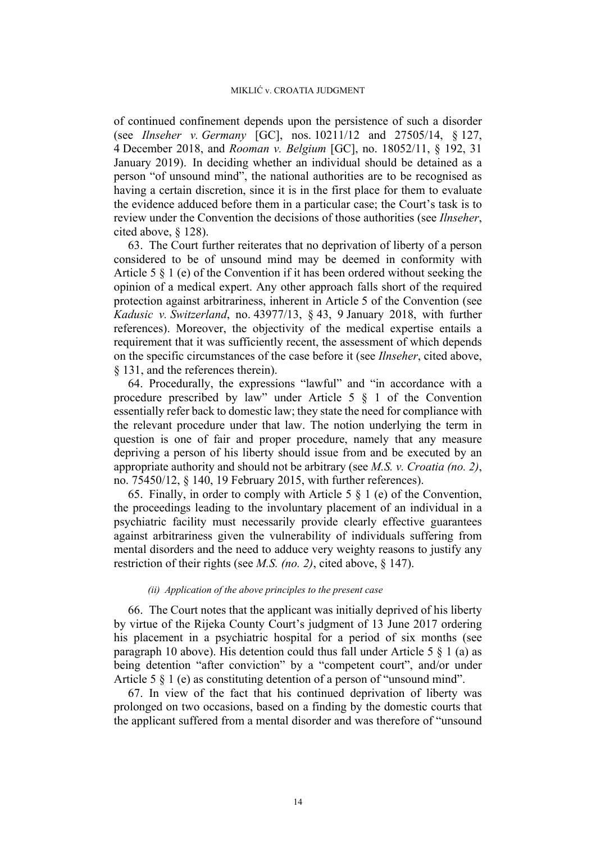of continued confinement depends upon the persistence of such a disorder (see *Ilnseher v. Germany* [GC], nos. 10211/12 and 27505/14, § 127, 4 December 2018, and *Rooman v. Belgium* [GC], no. 18052/11, § 192, 31 January 2019). In deciding whether an individual should be detained as a person "of unsound mind", the national authorities are to be recognised as having a certain discretion, since it is in the first place for them to evaluate the evidence adduced before them in a particular case; the Court's task is to review under the Convention the decisions of those authorities (see *Ilnseher*, cited above, § 128).

63. The Court further reiterates that no deprivation of liberty of a person considered to be of unsound mind may be deemed in conformity with Article 5 § 1 (e) of the Convention if it has been ordered without seeking the opinion of a medical expert. Any other approach falls short of the required protection against arbitrariness, inherent in Article 5 of the Convention (see *Kadusic v. Switzerland*, no. 43977/13, § 43, 9 January 2018, with further references). Moreover, the objectivity of the medical expertise entails a requirement that it was sufficiently recent, the assessment of which depends on the specific circumstances of the case before it (see *Ilnseher*, cited above, § 131, and the references therein).

64. Procedurally, the expressions "lawful" and "in accordance with a procedure prescribed by law" under Article 5 § 1 of the Convention essentially refer back to domestic law; they state the need for compliance with the relevant procedure under that law. The notion underlying the term in question is one of fair and proper procedure, namely that any measure depriving a person of his liberty should issue from and be executed by an appropriate authority and should not be arbitrary (see *M.S. v. Croatia (no. 2)*, no. 75450/12, § 140, 19 February 2015, with further references).

65. Finally, in order to comply with Article 5 § 1 (e) of the Convention, the proceedings leading to the involuntary placement of an individual in a psychiatric facility must necessarily provide clearly effective guarantees against arbitrariness given the vulnerability of individuals suffering from mental disorders and the need to adduce very weighty reasons to justify any restriction of their rights (see *M.S. (no. 2)*, cited above, § 147).

## *(ii) Application of the above principles to the present case*

66. The Court notes that the applicant was initially deprived of his liberty by virtue of the Rijeka County Court's judgment of 13 June 2017 ordering his placement in a psychiatric hospital for a period of six months (see paragraph [10](#page-3-0) above). His detention could thus fall under Article 5  $\S$  1 (a) as being detention "after conviction" by a "competent court", and/or under Article 5  $\frac{1}{2}$  (e) as constituting detention of a person of "unsound mind".

67. In view of the fact that his continued deprivation of liberty was prolonged on two occasions, based on a finding by the domestic courts that the applicant suffered from a mental disorder and was therefore of "unsound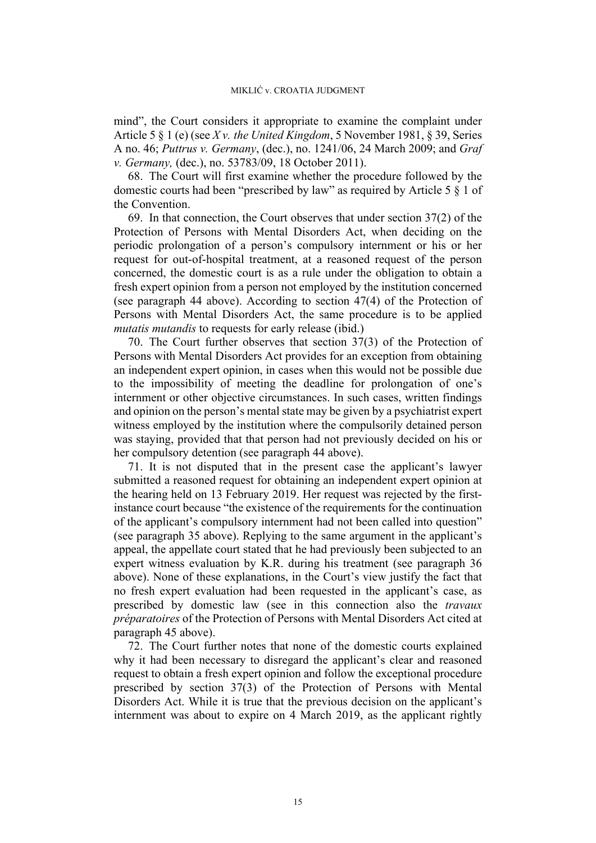mind", the Court considers it appropriate to examine the complaint under Article 5 § 1 (e) (see *X v. the United Kingdom*, 5 November 1981, § 39, Series A no. 46; *Puttrus v. Germany*, (dec.), no. 1241/06, 24 March 2009; and *Graf v. Germany,* (dec.), no. 53783/09, 18 October 2011).

68. The Court will first examine whether the procedure followed by the domestic courts had been "prescribed by law" as required by Article 5 § 1 of the Convention.

69. In that connection, the Court observes that under section 37(2) of the Protection of Persons with Mental Disorders Act, when deciding on the periodic prolongation of a person's compulsory internment or his or her request for out-of-hospital treatment, at a reasoned request of the person concerned, the domestic court is as a rule under the obligation to obtain a fresh expert opinion from a person not employed by the institution concerned (see paragraph [44](#page-9-0) above). According to section 47(4) of the Protection of Persons with Mental Disorders Act, the same procedure is to be applied *mutatis mutandis* to requests for early release (ibid.)

70. The Court further observes that section 37(3) of the Protection of Persons with Mental Disorders Act provides for an exception from obtaining an independent expert opinion, in cases when this would not be possible due to the impossibility of meeting the deadline for prolongation of one's internment or other objective circumstances. In such cases, written findings and opinion on the person's mental state may be given by a psychiatrist expert witness employed by the institution where the compulsorily detained person was staying, provided that that person had not previously decided on his or her compulsory detention (see paragraph [44](#page-9-0) above).

71. It is not disputed that in the present case the applicant's lawyer submitted a reasoned request for obtaining an independent expert opinion at the hearing held on 13 February 2019. Her request was rejected by the firstinstance court because "the existence of the requirements for the continuation of the applicant's compulsory internment had not been called into question" (see paragraph [35](#page-7-0) above). Replying to the same argument in the applicant's appeal, the appellate court stated that he had previously been subjected to an expert witness evaluation by K.R. during his treatment (see paragraph [36](#page-7-1)  above). None of these explanations, in the Court's view justify the fact that no fresh expert evaluation had been requested in the applicant's case, as prescribed by domestic law (see in this connection also the *travaux préparatoires* of the Protection of Persons with Mental Disorders Act cited at paragraph [45](#page-11-0) above).

72. The Court further notes that none of the domestic courts explained why it had been necessary to disregard the applicant's clear and reasoned request to obtain a fresh expert opinion and follow the exceptional procedure prescribed by section 37(3) of the Protection of Persons with Mental Disorders Act. While it is true that the previous decision on the applicant's internment was about to expire on 4 March 2019, as the applicant rightly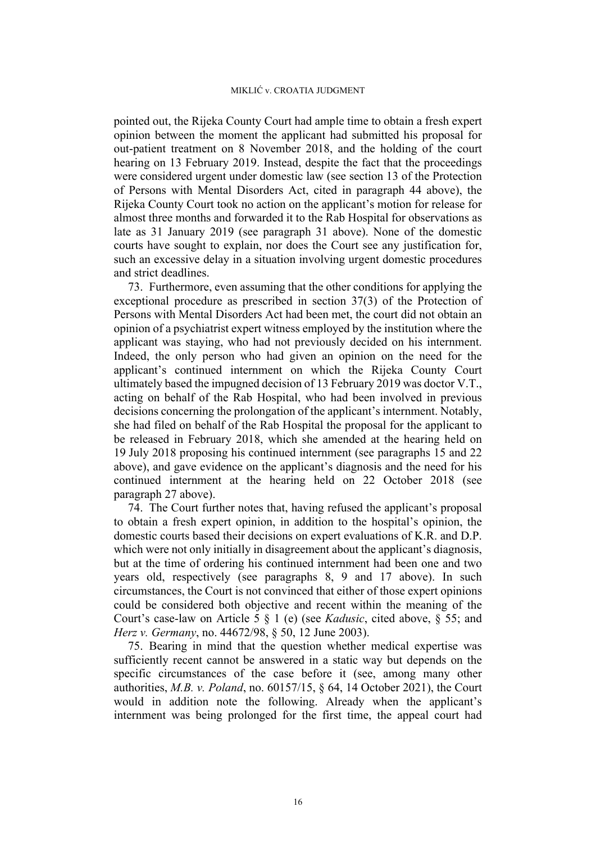pointed out, the Rijeka County Court had ample time to obtain a fresh expert opinion between the moment the applicant had submitted his proposal for out-patient treatment on 8 November 2018, and the holding of the court hearing on 13 February 2019. Instead, despite the fact that the proceedings were considered urgent under domestic law (see section 13 of the Protection of Persons with Mental Disorders Act, cited in paragraph [44](#page-9-0) above), the Rijeka County Court took no action on the applicant's motion for release for almost three months and forwarded it to the Rab Hospital for observations as late as 31 January 2019 (see paragraph [31](#page-6-2) above). None of the domestic courts have sought to explain, nor does the Court see any justification for, such an excessive delay in a situation involving urgent domestic procedures and strict deadlines.

73. Furthermore, even assuming that the other conditions for applying the exceptional procedure as prescribed in section 37(3) of the Protection of Persons with Mental Disorders Act had been met, the court did not obtain an opinion of a psychiatrist expert witness employed by the institution where the applicant was staying, who had not previously decided on his internment. Indeed, the only person who had given an opinion on the need for the applicant's continued internment on which the Rijeka County Court ultimately based the impugned decision of 13 February 2019 was doctor V.T., acting on behalf of the Rab Hospital, who had been involved in previous decisions concerning the prolongation of the applicant's internment. Notably, she had filed on behalf of the Rab Hospital the proposal for the applicant to be released in February 2018, which she amended at the hearing held on 19 July 2018 proposing his continued internment (see paragraphs [15](#page-4-0) and [22](#page-5-1)  above), and gave evidence on the applicant's diagnosis and the need for his continued internment at the hearing held on 22 October 2018 (see paragraph [27](#page-6-3) above).

74. The Court further notes that, having refused the applicant's proposal to obtain a fresh expert opinion, in addition to the hospital's opinion, the domestic courts based their decisions on expert evaluations of K.R. and D.P. which were not only initially in disagreement about the applicant's diagnosis, but at the time of ordering his continued internment had been one and two years old, respectively (see paragraphs [8,](#page-3-1) [9](#page-3-2) and [17](#page-4-1) above). In such circumstances, the Court is not convinced that either of those expert opinions could be considered both objective and recent within the meaning of the Court's case-law on Article 5 § 1 (e) (see *Kadusic*, cited above, § 55; and *Herz v. Germany*, no. 44672/98, § 50, 12 June 2003).

75. Bearing in mind that the question whether medical expertise was sufficiently recent cannot be answered in a static way but depends on the specific circumstances of the case before it (see, among many other authorities, *M.B. v. Poland*, no. 60157/15, § 64, 14 October 2021), the Court would in addition note the following. Already when the applicant's internment was being prolonged for the first time, the appeal court had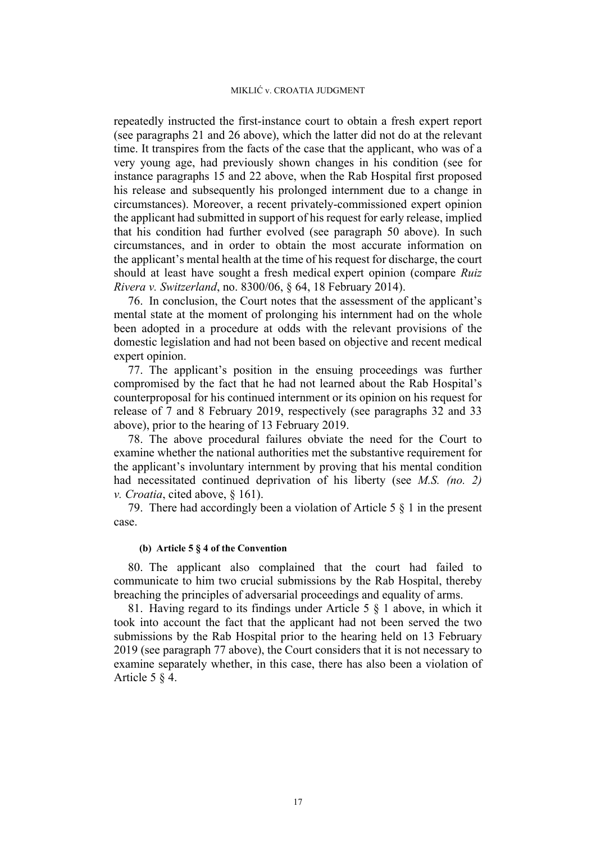repeatedly instructed the first-instance court to obtain a fresh expert report (see paragraphs [21](#page-5-2) and [26](#page-5-3) above), which the latter did not do at the relevant time. It transpires from the facts of the case that the applicant, who was of a very young age, had previously shown changes in his condition (see for instance paragraphs [15](#page-4-0) and [22](#page-5-1) above, when the Rab Hospital first proposed his release and subsequently his prolonged internment due to a change in circumstances). Moreover, a recent privately-commissioned expert opinion the applicant had submitted in support of his request for early release, implied that his condition had further evolved (see paragraph [50](#page-12-0) above). In such circumstances, and in order to obtain the most accurate information on the applicant's mental health at the time of his request for discharge, the court should at least have sought a fresh medical expert opinion (compare *Ruiz Rivera v. Switzerland*, no. 8300/06, § 64, 18 February 2014).

76. In conclusion, the Court notes that the assessment of the applicant's mental state at the moment of prolonging his internment had on the whole been adopted in a procedure at odds with the relevant provisions of the domestic legislation and had not been based on objective and recent medical expert opinion.

<span id="page-18-0"></span>77. The applicant's position in the ensuing proceedings was further compromised by the fact that he had not learned about the Rab Hospital's counterproposal for his continued internment or its opinion on his request for release of 7 and 8 February 2019, respectively (see paragraphs [32](#page-6-0) and [33](#page-6-1)  above), prior to the hearing of 13 February 2019.

78. The above procedural failures obviate the need for the Court to examine whether the national authorities met the substantive requirement for the applicant's involuntary internment by proving that his mental condition had necessitated continued deprivation of his liberty (see *M.S. (no. 2) v. Croatia*, cited above, § 161).

79. There had accordingly been a violation of Article 5 § 1 in the present case.

## **(b) Article 5 § 4 of the Convention**

80. The applicant also complained that the court had failed to communicate to him two crucial submissions by the Rab Hospital, thereby breaching the principles of adversarial proceedings and equality of arms.

81. Having regard to its findings under Article 5 § 1 above, in which it took into account the fact that the applicant had not been served the two submissions by the Rab Hospital prior to the hearing held on 13 February 2019 (see paragraph [77](#page-18-0) above), the Court considers that it is not necessary to examine separately whether, in this case, there has also been a violation of Article 5 § 4.